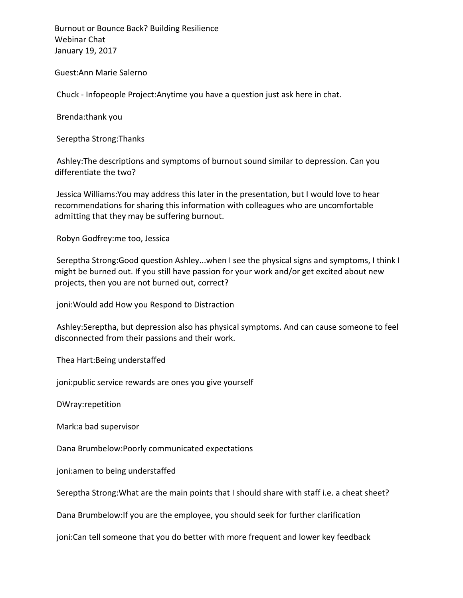Guest:Ann Marie Salerno

Chuck - Infopeople Project:Anytime you have a question just ask here in chat.

Brenda:thank you

Sereptha Strong:Thanks

Ashley: The descriptions and symptoms of burnout sound similar to depression. Can you differentiate the two?

Jessica Williams: You may address this later in the presentation, but I would love to hear recommendations for sharing this information with colleagues who are uncomfortable admitting that they may be suffering burnout.

Robyn Godfrey:me too, Jessica

Sereptha Strong:Good question Ashley...when I see the physical signs and symptoms, I think I might be burned out. If you still have passion for your work and/or get excited about new projects, then you are not burned out, correct?

joni: Would add How you Respond to Distraction

Ashley: Sereptha, but depression also has physical symptoms. And can cause someone to feel disconnected from their passions and their work.

Thea Hart: Being understaffed

joni: public service rewards are ones you give yourself

DWray:repetition

Mark:a bad supervisor

Dana Brumbelow: Poorly communicated expectations

joni: amen to being understaffed

Sereptha Strong: What are the main points that I should share with staff i.e. a cheat sheet?

Dana Brumbelow: If you are the employee, you should seek for further clarification

joni:Can tell someone that you do better with more frequent and lower key feedback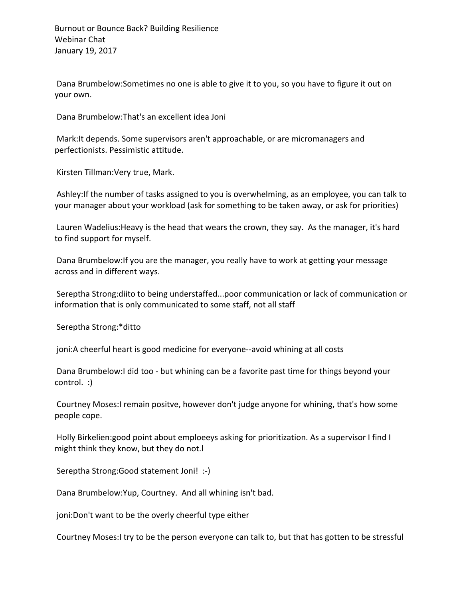Dana Brumbelow:Sometimes no one is able to give it to you, so you have to figure it out on your own.

Dana Brumbelow: That's an excellent idea Joni

Mark: It depends. Some supervisors aren't approachable, or are micromanagers and perfectionists. Pessimistic attitude.

Kirsten Tillman: Very true, Mark.

Ashley: If the number of tasks assigned to you is overwhelming, as an employee, you can talk to your manager about your workload (ask for something to be taken away, or ask for priorities)

Lauren Wadelius: Heavy is the head that wears the crown, they say. As the manager, it's hard to find support for myself.

Dana Brumbelow: If you are the manager, you really have to work at getting your message across and in different ways.

Sereptha Strong:diito to being understaffed...poor communication or lack of communication or information that is only communicated to some staff, not all staff

Sereptha Strong:\*ditto

joni:A cheerful heart is good medicine for everyone--avoid whining at all costs

Dana Brumbelow:I did too - but whining can be a favorite past time for things beyond your control. :)

Courtney Moses: remain positve, however don't judge anyone for whining, that's how some people cope.

Holly Birkelien:good point about emploeeys asking for prioritization. As a supervisor I find I might think they know, but they do not.

Sereptha Strong:Good statement Joni! :-)

Dana Brumbelow: Yup, Courtney. And all whining isn't bad.

joni:Don't want to be the overly cheerful type either

Courtney Moses:I try to be the person everyone can talk to, but that has gotten to be stressful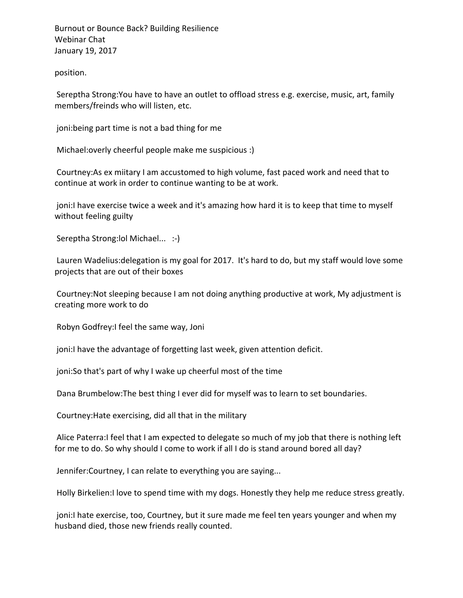position.

Sereptha Strong: You have to have an outlet to offload stress e.g. exercise, music, art, family members/freinds who will listen, etc.

joni: being part time is not a bad thing for me

Michael: overly cheerful people make me suspicious :)

Courtney: As ex miitary I am accustomed to high volume, fast paced work and need that to continue at work in order to continue wanting to be at work.

joni:I have exercise twice a week and it's amazing how hard it is to keep that time to myself without feeling guilty

Sereptha Strong: lol Michael... :-)

Lauren Wadelius: delegation is my goal for 2017. It's hard to do, but my staff would love some projects that are out of their boxes

Courtney: Not sleeping because I am not doing anything productive at work, My adjustment is creating more work to do

Robyn Godfrey: I feel the same way, Joni

joni:I have the advantage of forgetting last week, given attention deficit.

joni: So that's part of why I wake up cheerful most of the time

Dana Brumbelow: The best thing I ever did for myself was to learn to set boundaries.

Courtney: Hate exercising, did all that in the military

Alice Paterra: I feel that I am expected to delegate so much of my job that there is nothing left for me to do. So why should I come to work if all I do is stand around bored all day?

Jennifer: Courtney, I can relate to everything you are saying...

Holly Birkelien:I love to spend time with my dogs. Honestly they help me reduce stress greatly.

joni:I hate exercise, too, Courtney, but it sure made me feel ten years younger and when my husband died, those new friends really counted.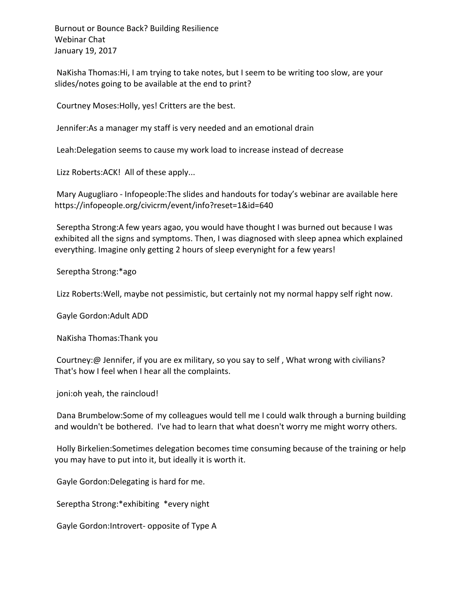NaKisha Thomas: Hi, I am trying to take notes, but I seem to be writing too slow, are your slides/notes going to be available at the end to print?

Courtney Moses: Holly, yes! Critters are the best.

Jennifer: As a manager my staff is very needed and an emotional drain

Leah: Delegation seems to cause my work load to increase instead of decrease

Lizz Roberts: ACK! All of these apply...

Mary Augugliaro - Infopeople: The slides and handouts for today's webinar are available here https://infopeople.org/civicrm/event/info?reset=1&id=640

Sereptha Strong:A few years agao, you would have thought I was burned out because I was exhibited all the signs and symptoms. Then, I was diagnosed with sleep apnea which explained everything. Imagine only getting 2 hours of sleep everynight for a few years!

Sereptha Strong:\*ago

Lizz Roberts: Well, maybe not pessimistic, but certainly not my normal happy self right now.

Gayle Gordon: Adult ADD

NaKisha Thomas:Thank you

Courtney:@ Jennifer, if you are ex military, so you say to self, What wrong with civilians? That's how I feel when I hear all the complaints.

joni: oh yeah, the raincloud!

Dana Brumbelow:Some of my colleagues would tell me I could walk through a burning building and wouldn't be bothered. I've had to learn that what doesn't worry me might worry others.

Holly Birkelien: Sometimes delegation becomes time consuming because of the training or help you may have to put into it, but ideally it is worth it.

Gayle Gordon: Delegating is hard for me.

Sereptha Strong:\*exhibiting \*every night

Gayle Gordon: Introvert- opposite of Type A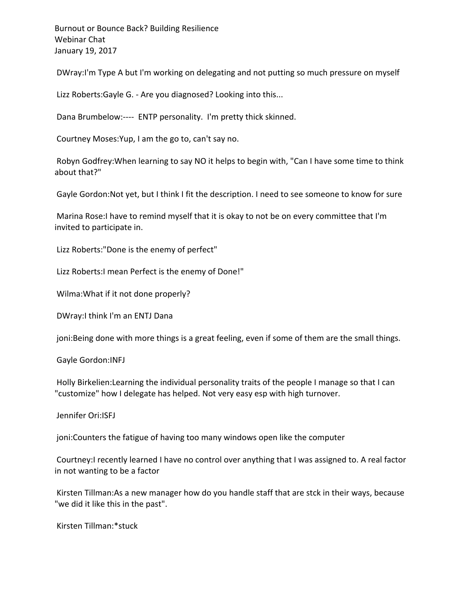DWray:I'm Type A but I'm working on delegating and not putting so much pressure on myself

Lizz Roberts:Gayle G. - Are you diagnosed? Looking into this...

Dana Brumbelow:---- ENTP personality. I'm pretty thick skinned.

Courtney Moses: Yup, I am the go to, can't say no.

Robyn Godfrey: When learning to say NO it helps to begin with, "Can I have some time to think about that?"

Gayle Gordon:Not yet, but I think I fit the description. I need to see someone to know for sure

Marina Rose:I have to remind myself that it is okay to not be on every committee that I'm invited to participate in.

Lizz Roberts:"Done is the enemy of perfect"

Lizz Roberts: I mean Perfect is the enemy of Done!"

Wilma: What if it not done properly?

DWray:I think I'm an ENTJ Dana

joni:Being done with more things is a great feeling, even if some of them are the small things.

Gayle Gordon: INFJ

Holly Birkelien: Learning the individual personality traits of the people I manage so that I can "customize" how I delegate has helped. Not very easy esp with high turnover.

Jennifer Ori:ISFJ

joni: Counters the fatigue of having too many windows open like the computer

Courtney: I recently learned I have no control over anything that I was assigned to. A real factor in not wanting to be a factor

Kirsten Tillman:As a new manager how do you handle staff that are stck in their ways, because "we did it like this in the past".

Kirsten Tillman:\*stuck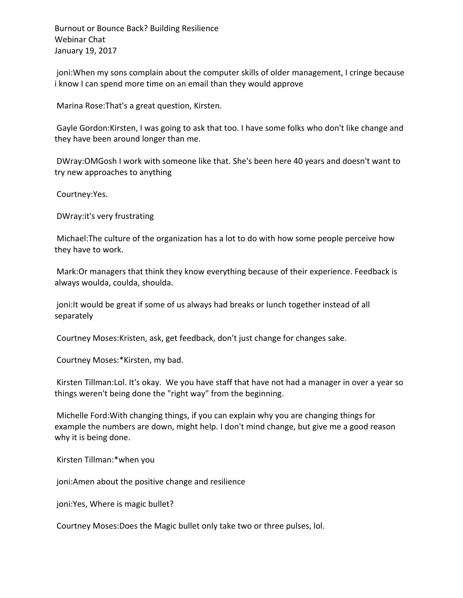joni: When my sons complain about the computer skills of older management, I cringe because i know I can spend more time on an email than they would approve

Marina Rose: That's a great question, Kirsten.

Gayle Gordon:Kirsten, I was going to ask that too. I have some folks who don't like change and they have been around longer than me.

DWray:OMGosh I work with someone like that. She's been here 40 years and doesn't want to try new approaches to anything

Courtney:Yes.

DWray: it's very frustrating

Michael: The culture of the organization has a lot to do with how some people perceive how they have to work.

Mark: Or managers that think they know everything because of their experience. Feedback is always woulda, coulda, shoulda.

joni: It would be great if some of us always had breaks or lunch together instead of all separately

Courtney Moses: Kristen, ask, get feedback, don't just change for changes sake.

Courtney Moses:\*Kirsten, my bad.

Kirsten Tillman: Lol. It's okay. We you have staff that have not had a manager in over a year so things weren't being done the "right way" from the beginning.

Michelle Ford: With changing things, if you can explain why you are changing things for example the numbers are down, might help. I don't mind change, but give me a good reason why it is being done.

Kirsten Tillman:\*when you

joni: Amen about the positive change and resilience

joni: Yes, Where is magic bullet?

Courtney Moses: Does the Magic bullet only take two or three pulses, lol.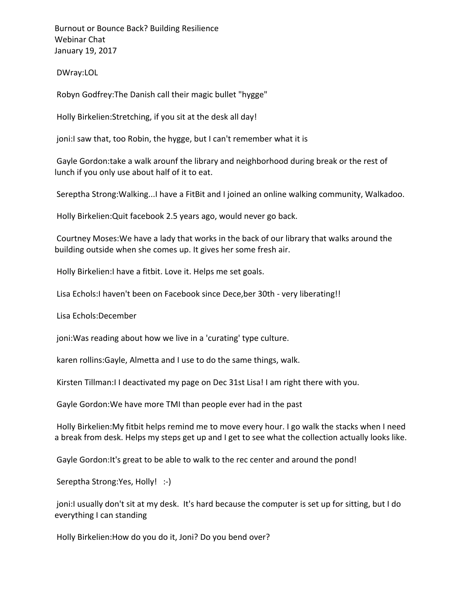DWray:LOL

Robyn Godfrey: The Danish call their magic bullet "hygge"

Holly Birkelien: Stretching, if you sit at the desk all day!

joni:I saw that, too Robin, the hygge, but I can't remember what it is

Gayle Gordon:take a walk arounf the library and neighborhood during break or the rest of lunch if you only use about half of it to eat.

Sereptha Strong:Walking...I have a FitBit and I joined an online walking community, Walkadoo.

Holly Birkelien: Quit facebook 2.5 years ago, would never go back.

Courtney Moses: We have a lady that works in the back of our library that walks around the building outside when she comes up. It gives her some fresh air.

Holly Birkelien: I have a fitbit. Love it. Helps me set goals.

Lisa Echols: I haven't been on Facebook since Dece, ber 30th - very liberating!!

Lisa Echols:December

joni: Was reading about how we live in a 'curating' type culture.

karen rollins:Gayle, Almetta and I use to do the same things, walk.

Kirsten Tillman: I I deactivated my page on Dec 31st Lisa! I am right there with you.

Gayle Gordon: We have more TMI than people ever had in the past

Holly Birkelien: My fitbit helps remind me to move every hour. I go walk the stacks when I need a break from desk. Helps my steps get up and I get to see what the collection actually looks like.

Gayle Gordon: It's great to be able to walk to the rec center and around the pond!

Sereptha Strong: Yes, Holly! :-)

joni:I usually don't sit at my desk. It's hard because the computer is set up for sitting, but I do everything I can standing

Holly Birkelien: How do you do it, Joni? Do you bend over?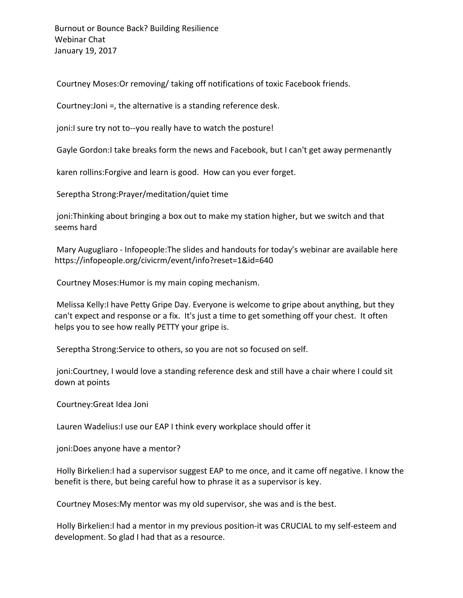Courtney Moses: Or removing/ taking off notifications of toxic Facebook friends.

Courtney: Joni =, the alternative is a standing reference desk.

joni:I sure try not to--you really have to watch the posture!

Gayle Gordon: I take breaks form the news and Facebook, but I can't get away permenantly

karen rollins: Forgive and learn is good. How can you ever forget.

Sereptha Strong: Prayer/meditation/quiet time

joni:Thinking about bringing a box out to make my station higher, but we switch and that seems hard

Mary Augugliaro - Infopeople: The slides and handouts for today's webinar are available here https://infopeople.org/civicrm/event/info?reset=1&id=640

Courtney Moses: Humor is my main coping mechanism.

Melissa Kelly: I have Petty Gripe Day. Everyone is welcome to gripe about anything, but they can't expect and response or a fix. It's just a time to get something off your chest. It often helps you to see how really PETTY your gripe is.

Sereptha Strong: Service to others, so you are not so focused on self.

joni:Courtney, I would love a standing reference desk and still have a chair where I could sit down at points

Courtney: Great Idea Joni

Lauren Wadelius: I use our EAP I think every workplace should offer it

joni:Does anyone have a mentor?

Holly Birkelien:I had a supervisor suggest EAP to me once, and it came off negative. I know the benefit is there, but being careful how to phrase it as a supervisor is key.

Courtney Moses: My mentor was my old supervisor, she was and is the best.

Holly Birkelien:I had a mentor in my previous position-it was CRUCIAL to my self-esteem and development. So glad I had that as a resource.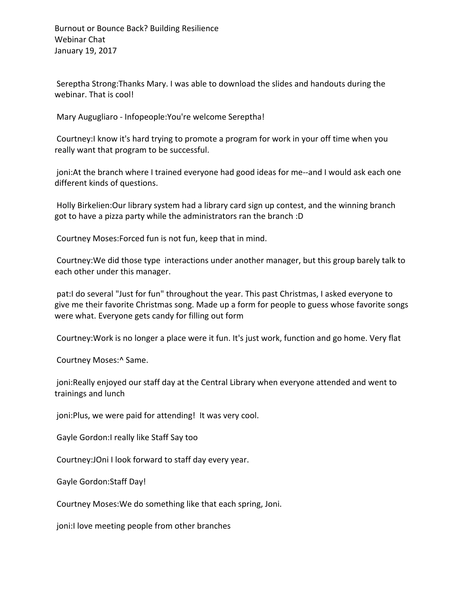Sereptha Strong: Thanks Mary. I was able to download the slides and handouts during the webinar. That is cool!

Mary Augugliaro - Infopeople: You're welcome Sereptha!

Courtney: I know it's hard trying to promote a program for work in your off time when you really want that program to be successful.

joni: At the branch where I trained everyone had good ideas for me--and I would ask each one different kinds of questions.

Holly Birkelien: Our library system had a library card sign up contest, and the winning branch got to have a pizza party while the administrators ran the branch :D

Courtney Moses: Forced fun is not fun, keep that in mind.

Courtney: We did those type interactions under another manager, but this group barely talk to each other under this manager.

pat:I do several "Just for fun" throughout the year. This past Christmas, I asked everyone to give me their favorite Christmas song. Made up a form for people to guess whose favorite songs were what. Everyone gets candy for filling out form

Courtney: Work is no longer a place were it fun. It's just work, function and go home. Very flat

Courtney Moses:^ Same.

joni:Really enjoyed our staff day at the Central Library when everyone attended and went to trainings and lunch

joni:Plus, we were paid for attending! It was very cool.

Gayle Gordon:I really like Staff Say too

Courtney: JOni I look forward to staff day every year.

Gayle Gordon: Staff Day!

Courtney Moses: We do something like that each spring, Joni.

joni:I love meeting people from other branches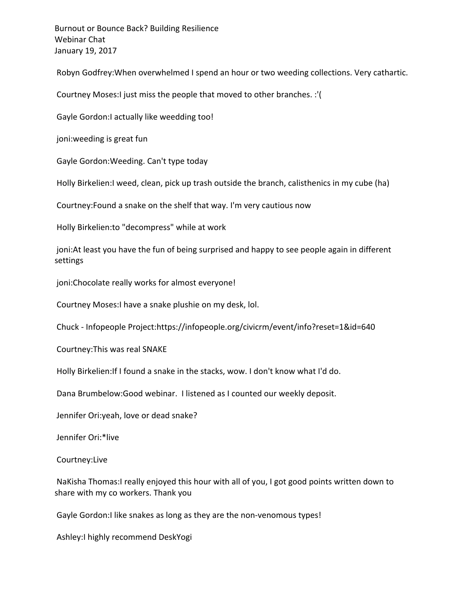Robyn Godfrey: When overwhelmed I spend an hour or two weeding collections. Very cathartic.

Courtney Moses: I just miss the people that moved to other branches. :'(

Gayle Gordon:I actually like weedding too!

joni: weeding is great fun

Gayle Gordon: Weeding. Can't type today

Holly Birkelien:I weed, clean, pick up trash outside the branch, calisthenics in my cube (ha)

Courtney: Found a snake on the shelf that way. I'm very cautious now

Holly Birkelien: to "decompress" while at work

joni: At least you have the fun of being surprised and happy to see people again in different settings

joni:Chocolate really works for almost everyone!

Courtney Moses: I have a snake plushie on my desk, lol.

Chuck - Infopeople Project:https://infopeople.org/civicrm/event/info?reset=1&id=640

Courtney: This was real SNAKE

Holly Birkelien: If I found a snake in the stacks, wow. I don't know what I'd do.

Dana Brumbelow: Good webinar. I listened as I counted our weekly deposit.

Jennifer Ori: yeah, love or dead snake?

Jennifer Ori:\*live

Courtney:Live

NaKisha Thomas:I really enjoyed this hour with all of you, I got good points written down to share with my co workers. Thank you

Gayle Gordon:I like snakes as long as they are the non-venomous types!

Ashley: I highly recommend DeskYogi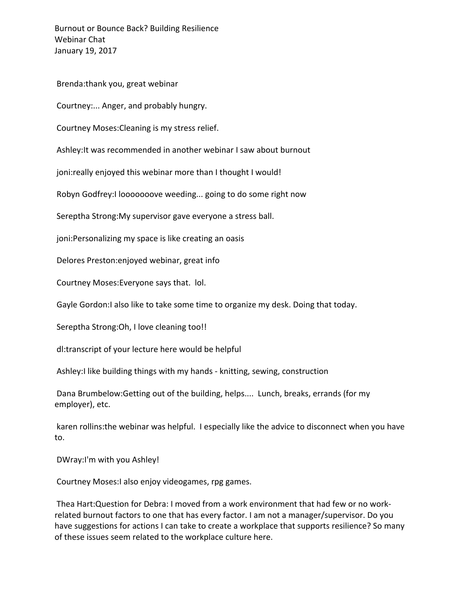Brenda:thank you, great webinar

Courtney:... Anger, and probably hungry.

Courtney Moses: Cleaning is my stress relief.

Ashley: It was recommended in another webinar I saw about burnout

joni: really enjoyed this webinar more than I thought I would!

Robyn Godfrey: I looooooove weeding... going to do some right now

Sereptha Strong: My supervisor gave everyone a stress ball.

joni:Personalizing my space is like creating an oasis

Delores Preston: enjoyed webinar, great info

Courtney Moses: Everyone says that. lol.

Gayle Gordon:I also like to take some time to organize my desk. Doing that today.

Sereptha Strong: Oh, I love cleaning too!!

dl:transcript of your lecture here would be helpful

Ashley:I like building things with my hands - knitting, sewing, construction

Dana Brumbelow:Getting out of the building, helps.... Lunch, breaks, errands (for my employer), etc.

karen rollins: the webinar was helpful. I especially like the advice to disconnect when you have to.

DWray:I'm with you Ashley!

Courtney Moses: I also enjoy videogames, rpg games.

Thea Hart:Question for Debra: I moved from a work environment that had few or no workrelated burnout factors to one that has every factor. I am not a manager/supervisor. Do you have suggestions for actions I can take to create a workplace that supports resilience? So many of these issues seem related to the workplace culture here.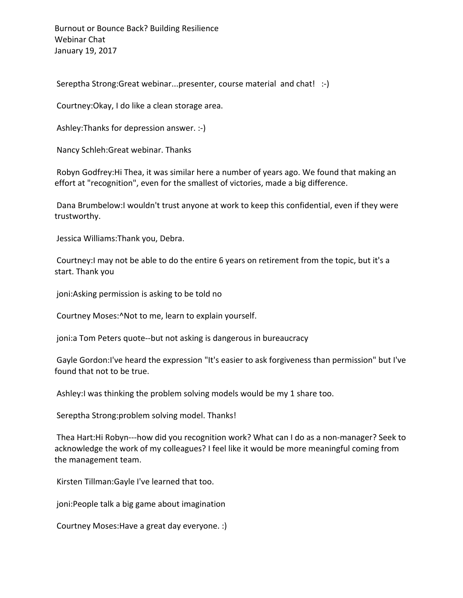Sereptha Strong:Great webinar...presenter, course material and chat! :-)

Courtney: Okay, I do like a clean storage area.

Ashley: Thanks for depression answer. :-)

Nancy Schleh: Great webinar. Thanks

Robyn Godfrey: Hi Thea, it was similar here a number of years ago. We found that making an effort at "recognition", even for the smallest of victories, made a big difference.

Dana Brumbelow:I wouldn't trust anyone at work to keep this confidential, even if they were trustworthy. 

Jessica Williams: Thank you, Debra.

Courtney: I may not be able to do the entire 6 years on retirement from the topic, but it's a start. Thank you

joni: Asking permission is asking to be told no

Courtney Moses: ^Not to me, learn to explain yourself.

joni: a Tom Peters quote--but not asking is dangerous in bureaucracy

Gayle Gordon:I've heard the expression "It's easier to ask forgiveness than permission" but I've found that not to be true.

Ashley: I was thinking the problem solving models would be my 1 share too.

Sereptha Strong: problem solving model. Thanks!

Thea Hart:Hi Robyn---how did you recognition work? What can I do as a non-manager? Seek to acknowledge the work of my colleagues? I feel like it would be more meaningful coming from the management team.

Kirsten Tillman: Gayle I've learned that too.

joni:People talk a big game about imagination

Courtney Moses: Have a great day everyone. :)